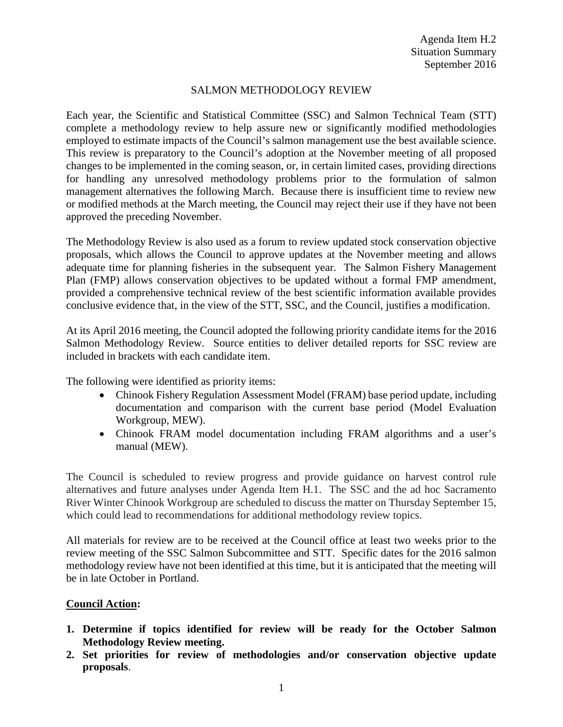## SALMON METHODOLOGY REVIEW

Each year, the Scientific and Statistical Committee (SSC) and Salmon Technical Team (STT) complete a methodology review to help assure new or significantly modified methodologies employed to estimate impacts of the Council's salmon management use the best available science. This review is preparatory to the Council's adoption at the November meeting of all proposed changes to be implemented in the coming season, or, in certain limited cases, providing directions for handling any unresolved methodology problems prior to the formulation of salmon management alternatives the following March. Because there is insufficient time to review new or modified methods at the March meeting, the Council may reject their use if they have not been approved the preceding November.

The Methodology Review is also used as a forum to review updated stock conservation objective proposals, which allows the Council to approve updates at the November meeting and allows adequate time for planning fisheries in the subsequent year. The Salmon Fishery Management Plan (FMP) allows conservation objectives to be updated without a formal FMP amendment, provided a comprehensive technical review of the best scientific information available provides conclusive evidence that, in the view of the STT, SSC, and the Council, justifies a modification.

At its April 2016 meeting, the Council adopted the following priority candidate items for the 2016 Salmon Methodology Review. Source entities to deliver detailed reports for SSC review are included in brackets with each candidate item.

The following were identified as priority items:

- Chinook Fishery Regulation Assessment Model (FRAM) base period update, including documentation and comparison with the current base period (Model Evaluation Workgroup, MEW).
- Chinook FRAM model documentation including FRAM algorithms and a user's manual (MEW).

The Council is scheduled to review progress and provide guidance on harvest control rule alternatives and future analyses under Agenda Item H.1. The SSC and the ad hoc Sacramento River Winter Chinook Workgroup are scheduled to discuss the matter on Thursday September 15, which could lead to recommendations for additional methodology review topics.

All materials for review are to be received at the Council office at least two weeks prior to the review meeting of the SSC Salmon Subcommittee and STT. Specific dates for the 2016 salmon methodology review have not been identified at this time, but it is anticipated that the meeting will be in late October in Portland.

## **Council Action:**

- **1. Determine if topics identified for review will be ready for the October Salmon Methodology Review meeting.**
- **2. Set priorities for review of methodologies and/or conservation objective update proposals**.